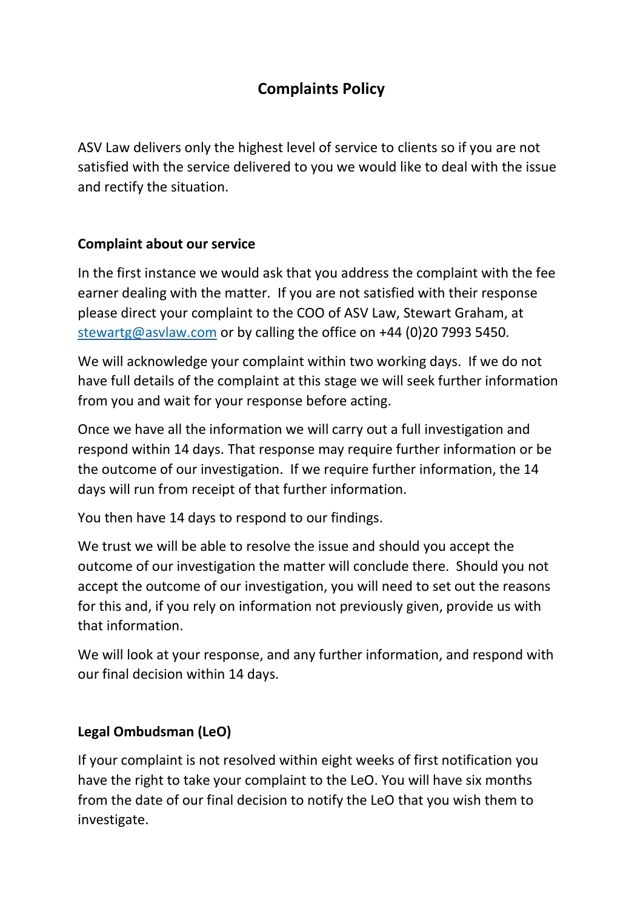# **Complaints Policy**

ASV Law delivers only the highest level of service to clients so if you are not satisfied with the service delivered to you we would like to deal with the issue and rectify the situation.

## **Complaint about our service**

In the first instance we would ask that you address the complaint with the fee earner dealing with the matter. If you are not satisfied with their response please direct your complaint to the COO of ASV Law, Stewart Graham, at [stewartg@asvlaw.com](mailto:stewartg@asvlaw.com) or by calling the office on +44 (0)20 7993 5450.

We will acknowledge your complaint within two working days. If we do not have full details of the complaint at this stage we will seek further information from you and wait for your response before acting.

Once we have all the information we will carry out a full investigation and respond within 14 days. That response may require further information or be the outcome of our investigation. If we require further information, the 14 days will run from receipt of that further information.

You then have 14 days to respond to our findings.

We trust we will be able to resolve the issue and should you accept the outcome of our investigation the matter will conclude there. Should you not accept the outcome of our investigation, you will need to set out the reasons for this and, if you rely on information not previously given, provide us with that information.

We will look at your response, and any further information, and respond with our final decision within 14 days.

## **Legal Ombudsman (LeO)**

If your complaint is not resolved within eight weeks of first notification you have the right to take your complaint to the LeO. You will have six months from the date of our final decision to notify the LeO that you wish them to investigate.